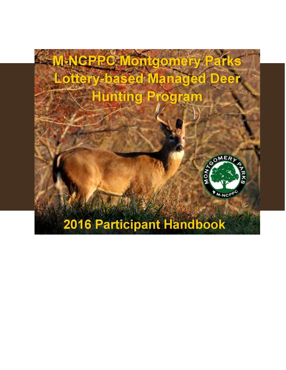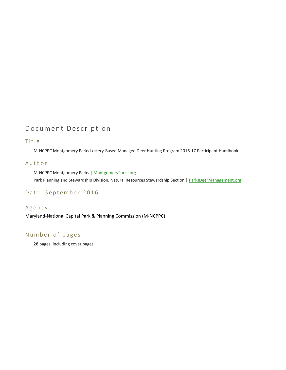## Document Description

#### Title

M‐NCPPC Montgomery Parks Lottery‐Based Managed Deer Hunting Program 2016‐17 Participant Handbook

#### Author

M‐NCPPC Montgomery Parks | MontgomeryParks.org Park Planning and Stewardship Division, Natural Resources Stewardship Section | ParksDeerManagement.org

#### Date: September 2016

#### Agency

Maryland‐National Capital Park & Planning Commission (M‐NCPPC)

#### Number of pages:

28 pages, including cover pages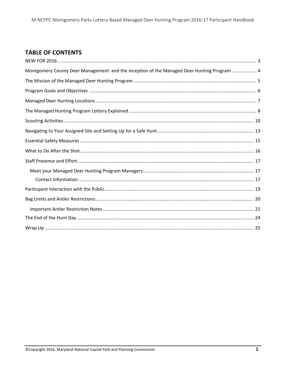## **TABLE OF CONTENTS**

| Montgomery County Deer Management and the Inception of the Managed Deer Hunting Program  4 |  |
|--------------------------------------------------------------------------------------------|--|
|                                                                                            |  |
|                                                                                            |  |
|                                                                                            |  |
|                                                                                            |  |
|                                                                                            |  |
|                                                                                            |  |
|                                                                                            |  |
|                                                                                            |  |
|                                                                                            |  |
|                                                                                            |  |
|                                                                                            |  |
|                                                                                            |  |
|                                                                                            |  |
|                                                                                            |  |
|                                                                                            |  |
|                                                                                            |  |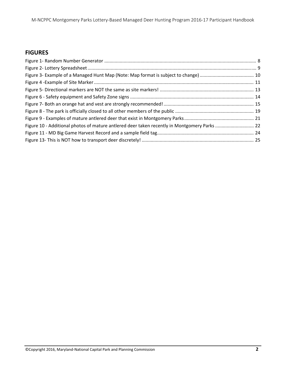## **FIGURES**

| Figure 10 - Additional photos of mature antlered deer taken recently in Montgomery Parks  22 |  |
|----------------------------------------------------------------------------------------------|--|
|                                                                                              |  |
|                                                                                              |  |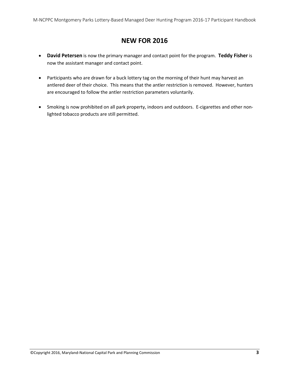## **NEW FOR 2016**

- **David Petersen** is now the primary manager and contact point for the program. **Teddy Fisher** is now the assistant manager and contact point.
- Participants who are drawn for a buck lottery tag on the morning of their hunt may harvest an antlered deer of their choice. This means that the antler restriction is removed. However, hunters are encouraged to follow the antler restriction parameters voluntarily.
- Smoking is now prohibited on all park property, indoors and outdoors. E-cigarettes and other nonlighted tobacco products are still permitted.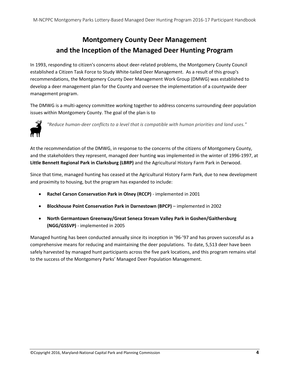# **Montgomery County Deer Management and the Inception of the Managed Deer Hunting Program**

In 1993, responding to citizen's concerns about deer‐related problems, the Montgomery County Council established a Citizen Task Force to Study White-tailed Deer Management. As a result of this group's recommendations, the Montgomery County Deer Management Work Group (DMWG) was established to develop a deer management plan for the County and oversee the implementation of a countywide deer management program.

The DMWG is a multi-agency committee working together to address concerns surrounding deer population issues within Montgomery County. The goal of the plan is to



*"Reduce human‐deer conflicts to a level that is compatible with human priorities and land uses."*

At the recommendation of the DMWG, in response to the concerns of the citizens of Montgomery County, and the stakeholders they represent, managed deer hunting was implemented in the winter of 1996‐1997, at **Little Bennett Regional Park in Clarksburg (LBRP)** and the Agricultural History Farm Park in Derwood.

Since that time, managed hunting has ceased at the Agricultural History Farm Park, due to new development and proximity to housing, but the program has expanded to include:

- **Rachel Carson Conservation Park in Olney (RCCP)** ‐ implemented in 2001
- **Blockhouse Point Conservation Park in Darnestown (BPCP)** implemented in 2002
- **North Germantown Greenway/Great Seneca Stream Valley Park in Goshen/Gaithersburg (NGG/GSSVP)** ‐ implemented in 2005

Managed hunting has been conducted annually since its inception in '96‐'97 and has proven successful as a comprehensive means for reducing and maintaining the deer populations. To date, 5,513 deer have been safely harvested by managed hunt participants across the five park locations, and this program remains vital to the success of the Montgomery Parks' Managed Deer Population Management.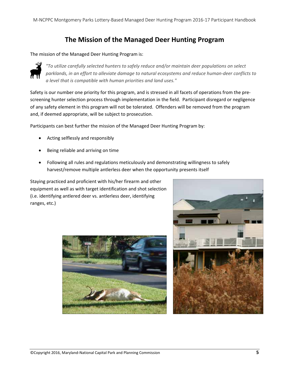## **The Mission of the Managed Deer Hunting Program**

#### The mission of the Managed Deer Hunting Program is:



*"To utilize carefully selected hunters to safely reduce and/or maintain deer populations on select parklands, in an effort to alleviate damage to natural ecosystems and reduce human‐deer conflicts to a level that is compatible with human priorities and land uses."*

Safety is our number one priority for this program, and is stressed in all facets of operations from the pre‐ screening hunter selection process through implementation in the field. Participant disregard or negligence of any safety element in this program will not be tolerated. Offenders will be removed from the program and, if deemed appropriate, will be subject to prosecution.

Participants can best further the mission of the Managed Deer Hunting Program by:

- Acting selflessly and responsibly
- Being reliable and arriving on time
- Following all rules and regulations meticulously and demonstrating willingness to safely harvest/remove multiple antlerless deer when the opportunity presents itself

Staying practiced and proficient with his/her firearm and other equipment as well as with target identification and shot selection (i.e. identifying antlered deer vs. antlerless deer, identifying ranges, etc.)



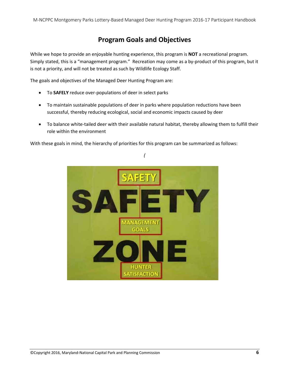## **Program Goals and Objectives**

While we hope to provide an enjoyable hunting experience, this program is **NOT** a recreational program. Simply stated, this is a "management program." Recreation may come as a by‐product of this program, but it is not a priority, and will not be treated as such by Wildlife Ecology Staff.

The goals and objectives of the Managed Deer Hunting Program are:

- To **SAFELY** reduce over‐populations of deer in select parks
- To maintain sustainable populations of deer in parks where population reductions have been successful, thereby reducing ecological, social and economic impacts caused by deer
- To balance white‐tailed deer with their available natural habitat, thereby allowing them to fulfill their role within the environment

With these goals in mind, the hierarchy of priorities for this program can be summarized as follows:



*(*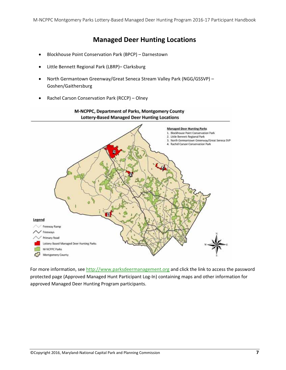### **Managed Deer Hunting Locations**

- Blockhouse Point Conservation Park (BPCP) Darnestown
- Little Bennett Regional Park (LBRP)– Clarksburg
- North Germantown Greenway/Great Seneca Stream Valley Park (NGG/GSSVP) Goshen/Gaithersburg

M-NCPPC, Department of Parks, Montgomery County

Rachel Carson Conservation Park (RCCP) – Olney



For more information, see http://www.parksdeermanagement.org and click the link to access the password protected page (Approved Managed Hunt Participant Log‐In) containing maps and other information for approved Managed Deer Hunting Program participants.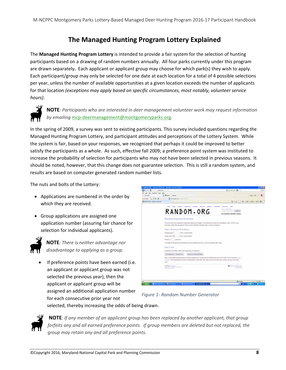## **The Managed Hunting Program Lottery Explained**

The **Managed Hunting Program Lottery** is intended to provide a fair system for the selection of hunting participants based on a drawing of random numbers annually. All four parks currently under this program are drawn separately**.** Each applicant or applicant group may choose for which park(s) they wish to apply. Each participant/group may only be selected for one date at each location for a total of 4 possible selections per year, unless the number of available opportunities at a given location exceeds the number of applicants for that location *(exceptions may apply based on specific circumstances, most notably, volunteer service hours)*.



**NOTE***: Participants who are interested in deer management volunteer work may request information by emailing* mcp‐deermanagement@montgomeryparks.org*.*

In the spring of 2009, a survey was sent to existing participants. This survey included questions regarding the Managed Hunting Program Lottery, and participant attitudes and perceptions of the Lottery System. While the system is fair, based on your responses, we recognized that perhaps it could be improved to better satisfy the participants as a whole. As such, effective fall 2009; a preference point system was instituted to increase the probability of selection for participants who may not have been selected in previous seasons. It should be noted, however, that this change does not guarantee selection. This is still a random system, and results are based on computer generated random number lists.

The nuts and bolts of the Lottery:

- Applications are numbered in the order by which they are received.
- Group applications are assigned one application number (assuring fair chance for selection for individual applicants).



**NOTE***: There is neither advantage nor disadvantage to applying as a group.* 

 If preference points have been earned (i.e. an applicant or applicant group was not selected the previous year), then the applicant or applicant group will be assigned an additional application number for each consecutive prior year not



*Figure 1‐ Random Number Generator*

selected, thereby increasing the odds of being drawn.



**NOTE***: If any member of an applicant group has been replaced by another applicant, that group forfeits any and all earned preference points. If group members are deleted but not replaced, the group may retain any and all preference points.*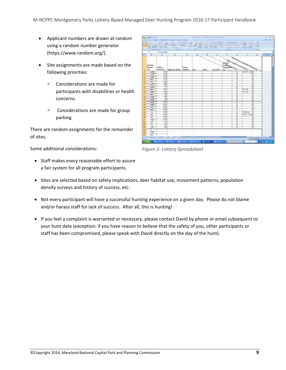- Applicant numbers are drawn at random using a random number generator (https://www.random.org/).
- Site assignments are made based on the following priorities:
	- Considerations are made for participants with disabilities or health concerns.
	- <sup>n</sup> Considerations are made for group parking

There are random assignments for the remainder of sites.

Some additional considerations:



*Figure 2‐ Lottery Spreadsheet*

- Staff makes every reasonable effort to assure a fair system for all program participants.
- Sites are selected based on safety implications, deer habitat use, movement patterns, population density surveys and history of success, etc.
- Not every participant will have a successful hunting experience on a given day. Please do not blame and/or harass staff for lack of success. After all, this is hunting!
- If you feel a complaint is warranted or necessary, please contact David by phone or email subsequent to your hunt date (exception: if you have reason to believe that the safety of you, other participants or staff has been compromised, please speak with David directly on the day of the hunt).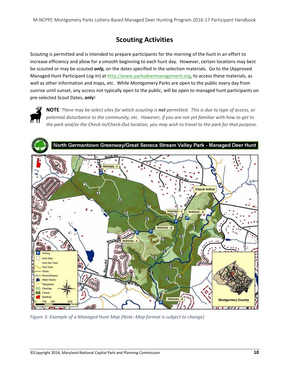## **Scouting Activities**

Scouting is permitted and is intended to prepare participants for the morning of the hunt in an effort to increase efficiency and allow for a smooth beginning to each hunt day. However, certain locations may best be scouted or may be scouted *only,* on the dates specified in the selection materials. Go to the (Approved Managed Hunt Participant Log-In) at http://www.parksdeermanagement.org, to access these materials, as well as other information and maps, etc. While Montgomery Parks are open to the public every day from sunrise until sunset, any access not typically open to the public, will be open to managed hunt participants on pre‐selected Scout Dates, **only**!



NOTE: There may be select sites for which scouting is not permitted. This is due to type of access, or potential disturbance to the community, etc. However, if you are not yet familiar with how to get to the park and/or the Check-In/Check-Out location, you may wish to travel to the park for that purpose.



*Figure 3‐ Example of a Managed Hunt Map (Note: Map format is subject to change)*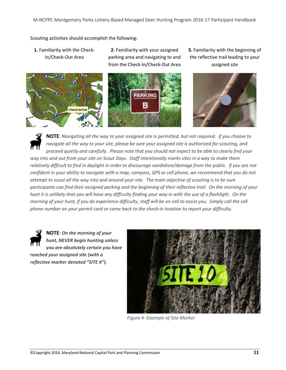Scouting activities should accomplish the following:

**1.** Familiarity with the Check‐ In/Check‐Out Area



**2.** Familiarity with your assigned parking area and navigating to and from the Check‐In/Check‐Out Area



**3.** Familiarity with the beginning of the reflective trail leading to your assigned site



NOTE: Navigating all the way to your assigned site is permitted, but not required. If you choose to navigate all the way to your site, please be sure your assigned site is authorized for scouting, and proceed quietly and carefully. Please note that you should not expect to be able to clearly find your way into and out from your site on Scout Days. Staff intentionally marks sites in a way to make them relatively difficult to find in daylight in order to discourage vandalism/damage from the public. If you are not confident in your ability to navigate with a map, compass, GPS or cell phone, we recommend that you do not attempt to scout all the way into and around your site. The main objective of scouting is to be sure participants can find their assigned parking and the beginning of their reflective trail. On the morning of your hunt it is unlikely that you will have any difficulty finding your way in with the use of a flashlight. On the morning of your hunt, if you do experience difficulty, staff will be on call to assist you. Simply call the cell phone number on your permit card or come back to the check-in location to report your difficulty.



**NOTE***: On the morning of your hunt, NEVER begin hunting unless you are absolutely certain you have reached your assigned site (with a reflective marker denoted "SITE X").*



*Figure 4 ‐Example of Site Marker*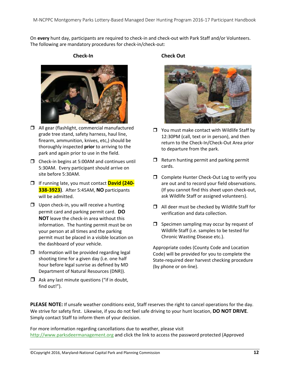On every hunt day, participants are required to check-in and check-out with Park Staff and/or Volunteers. The following are mandatory procedures for check‐in/check‐out:

**Check‐In**



- □ All gear (flashlight, commercial manufactured grade tree stand, safety harness, haul line, firearm, ammunition, knives, etc,) should be thoroughly inspected **prior** to arriving to the park and again prior to use in the field.
- □ Check-in begins at 5:00AM and continues until 5:30AM. Every participant should arrive on site before 5:30AM.
- If running late, you must contact **David (240‐ 338‐3923)**. After 5:45AM, **NO** participants will be admitted.
- $\Box$  Upon check-in, you will receive a hunting permit card and parking permit card. **DO NOT** leave the check‐in area without this information. The hunting permit must be on your person at all times and the parking permit must be placed in a visible location on the dashboard of your vehicle.
- $\Box$  Information will be provided regarding legal shooting time for a given day (i.e. one half hour before legal sunrise as defined by MD Department of Natural Resources (DNR)).
- $\Box$  Ask any last minute questions ("if in doubt, find out!").

#### **Check Out**



- $\Box$  You must make contact with Wildlife Staff by 12:30PM (call, text or in person), and then return to the Check‐In/Check‐Out Area prior to departure from the park.
- $\Box$  Return hunting permit and parking permit cards.
- □ Complete Hunter Check-Out Log to verify you are out and to record your field observations. (If you cannot find this sheet upon check‐out, ask Wildlife Staff or assigned volunteers).
- $\Box$  All deer must be checked by Wildlife Staff for verification and data collection.
- $\Box$  Specimen sampling may occur by request of Wildlife Staff (i.e. samples to be tested for Chronic Wasting Disease etc.).

Appropriate codes (County Code and Location Code) will be provided for you to complete the State‐required deer harvest checking procedure (by phone or on‐line).

**PLEASE NOTE:** If unsafe weather conditions exist, Staff reserves the right to cancel operations for the day. We strive for safety first. Likewise, if you do not feel safe driving to your hunt location, **DO NOT DRIVE**. Simply contact Staff to inform them of your decision.

For more information regarding cancellations due to weather, please visit http://www.parksdeermanagement.org and click the link to access the password protected (Approved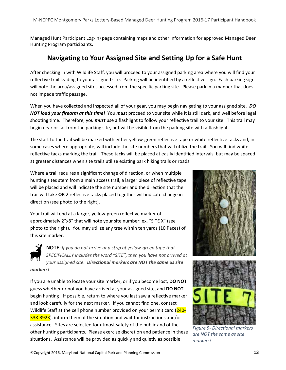Managed Hunt Participant Log‐In) page containing maps and other information for approved Managed Deer Hunting Program participants.

## **Navigating to Your Assigned Site and Setting Up for a Safe Hunt**

After checking in with Wildlife Staff, you will proceed to your assigned parking area where you will find your reflective trail leading to your assigned site. Parking will be identified by a reflective sign. Each parking sign will note the area/assigned sites accessed from the specific parking site. Please park in a manner that does not impede traffic passage.

When you have collected and inspected all of your gear, you may begin navigating to your assigned site. *DO NOT load your firearm at this time!* You *must* proceed to your site while it is still dark, and well before legal shooting time. Therefore, you *must* use a flashlight to follow your reflective trail to your site. This trail may begin near or far from the parking site, but will be visible from the parking site with a flashlight.

The start to the trail will be marked with either yellow‐green reflective tape or white reflective tacks and, in some cases where appropriate, will include the site numbers that will utilize the trail. You will find white reflective tacks marking the trail. These tacks will be placed at easily identified intervals, but may be spaced at greater distances when site trails utilize existing park hiking trails or roads.

Where a trail requires a significant change of direction, or when multiple hunting sites stem from a main access trail, a larger piece of reflective tape will be placed and will indicate the site number and the direction that the trail will take **OR** 2 reflective tacks placed together will indicate change in direction (see photo to the right).

Your trail will end at a larger, yellow-green reflective marker of approximately 2"x8" that will note your site number: ex. "SITE X" (see photo to the right). You may utilize any tree within ten yards (10 Paces) of this site marker.

**NOTE***: If you do not arrive at a strip of yellow‐green tape that SPECIFICALLY includes the word "SITE", then you have not arrived at your assigned site. Directional markers are NOT the same as site markers!*

If you are unable to locate your site marker, or if you become lost, **DO NOT** guess whether or not you have arrived at your assigned site, and **DO NOT** begin hunting! If possible, return to where you last saw a reflective marker and look carefully for the next marker. If you cannot find one, contact Wildlife Staff at the cell phone number provided on your permit card (240-338-3923), inform them of the situation and wait for instructions and/or assistance. Sites are selected for utmost safety of the public and of the other hunting participants. Please exercise discretion and patience in these situations. Assistance will be provided as quickly and quietly as possible.





*Figure 5‐ Directional markers are NOT the same as site markers!*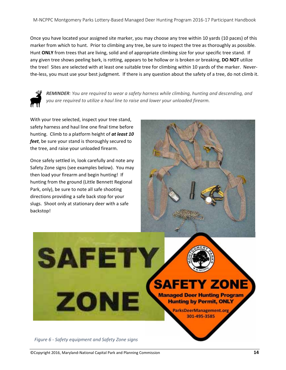Once you have located your assigned site marker, you may choose any tree within 10 yards (10 paces) of this marker from which to hunt. Prior to climbing any tree, be sure to inspect the tree as thoroughly as possible. Hunt **ONLY** from trees that are living, solid and of appropriate climbing size for your specific tree stand. If any given tree shows peeling bark, is rotting, appears to be hollow or is broken or breaking, **DO NOT** utilize the tree! Sites are selected with at least one suitable tree for climbing within 10 yards of the marker. Never‐ the‐less, you must use your best judgment. If there is any question about the safety of a tree, do not climb it.

![](_page_15_Picture_2.jpeg)

*REMINDER: You are required to wear a safety harness while climbing, hunting and descending, and you are required to utilize a haul line to raise and lower your unloaded firearm.* 

With your tree selected, inspect your tree stand, safety harness and haul line one final time before hunting. Climb to a platform height of *at least 10 feet*, be sure your stand is thoroughly secured to the tree, and raise your unloaded firearm.

Once safely settled in, look carefully and note any Safety Zone signs (see examples below). You may then load your firearm and begin hunting! If hunting from the ground (Little Bennett Regional Park, only), be sure to note all safe shooting directions providing a safe back stop for your slugs. Shoot only at stationary deer with a safe backstop!

![](_page_15_Picture_6.jpeg)

**Hunting by Permit, ONLY** 

ParksDeerManagement.org 301-495-3585

*Figure 6 ‐ Safety equipment and Safety Zone signs*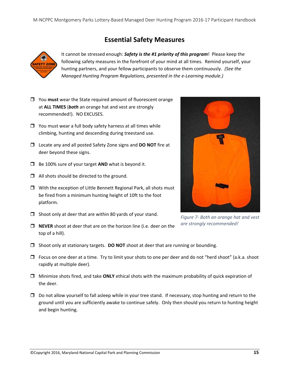## **Essential Safety Measures**

![](_page_16_Picture_2.jpeg)

It cannot be stressed enough: *Safety is the #1 priority of this program*! Please keep the following safety measures in the forefront of your mind at all times. Remind yourself, your hunting partners, and your fellow participants to observe them continuously. *(See the Managed Hunting Program Regulations, presented in the e‐Learning module.)*

- You **must** wear the State required amount of fluorescent orange at **ALL TIMES** (*both* an orange hat and vest are strongly recommended!). NO EXCUSES.
- $\Box$  You must wear a full body safety harness at all times while climbing, hunting and descending during treestand use.
- Locate any and all posted Safety Zone signs and **DO NOT** fire at deer beyond these signs.
- □ Be 100% sure of your target **AND** what is beyond it.
- $\Box$  All shots should be directed to the ground.
- $\Box$  With the exception of Little Bennett Regional Park, all shots must be fired from a minimum hunting height of 10ft to the foot platform.
- $\Box$  Shoot only at deer that are within 80 yards of your stand.
- **NEVER** shoot at deer that are on the horizon line (i.e. deer on the top of a hill).

![](_page_16_Picture_12.jpeg)

- $\Box$  Focus on one deer at a time. Try to limit your shots to one per deer and do not "herd shoot" (a.k.a. shoot rapidly at multiple deer).
- Minimize shots fired, and take **ONLY** ethical shots with the maximum probability of quick expiration of the deer.
- $\Box$  Do not allow yourself to fall asleep while in your tree stand. If necessary, stop hunting and return to the ground until you are sufficiently awake to continue safely. Only then should you return to hunting height and begin hunting.

![](_page_16_Picture_16.jpeg)

*Figure 7‐ Both an orange hat and vest are strongly recommended!*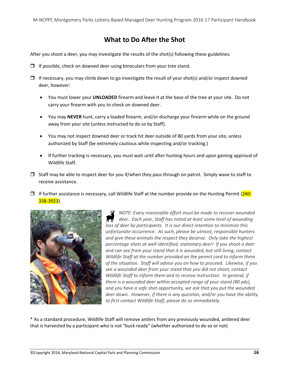## **What to Do After the Shot**

After you shoot a deer, you may investigate the results of the shot(s) following these guidelines:

- $\Box$  If possible, check on downed deer using binoculars from your tree stand.
- $\Box$  If necessary, you may climb down to go investigate the result of your shot(s) and/or inspect downed deer, however:
	- You must lower your **UNLOADED** firearm and leave it at the base of the tree at your site. Do not carry your firearm with you to check on downed deer.
	- You may **NEVER** hunt, carry a loaded firearm, and/or discharge your firearm while on the ground away from your site (unless instructed to do so by Staff).
	- You may not inspect downed deer or track hit deer outside of 80 yards from your site, unless authorized by Staff (be extremely cautious while inspecting and/or tracking.)
	- If further tracking is necessary, you must wait until after hunting hours and upon gaining approval of Wildlife Staff.
- $\Box$  Staff may be able to inspect deer for you if/when they pass through on patrol. Simply wave to staff to receive assistance.
- $\Box$  If further assistance is necessary, call Wildlife Staff at the number provide on the Hunting Permit (240-338‐3923).

![](_page_17_Picture_11.jpeg)

*NOTE: Every reasonable effort must be made to recover wounded deer. Each year, Staff has noted at least some level of wounding loss of deer by participants. It is our direct intention to minimize this unfortunate occurrence. As such, please be utmost, responsible hunters and give these animals the respect they deserve. Only take the highest percentage shots at well‐identified, stationary deer! If you shoot a deer and can see from your stand that it is wounded, but still living, contact Wildlife Staff at the number provided on the permit card to inform them of the situation. Staff will advise you on how to proceed. Likewise, if you see a wounded deer from your stand that you did not shoot, contact Wildlife Staff to inform them and to receive instruction. In general, if there is a wounded deer within accepted range of your stand (80 yds), and you have a safe shot opportunity, we ask that you put the wounded deer down. However, if there is any question, and/or you have the ability to first contact Wildlife Staff, please do so immediately.*

\* As a standard procedure, Wildlife Staff will remove antlers from any previously wounded, antlered deer that is harvested by a participant who is not "buck ready" (whether authorized to do so or not)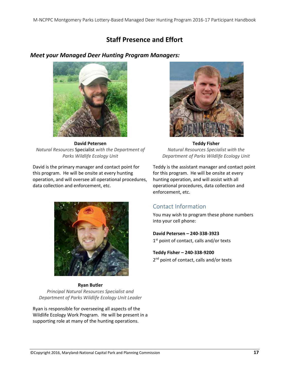## **Staff Presence and Effort**

#### *Meet your Managed Deer Hunting Program Managers:*

![](_page_18_Picture_3.jpeg)

**David Petersen** *Natural Resources* Specialist *with the Department of Parks Wildlife Ecology Unit*

David is the primary manager and contact point for this program. He will be onsite at every hunting operation, and will oversee all operational procedures, data collection and enforcement, etc.

![](_page_18_Picture_6.jpeg)

**Ryan Butler** *Principal Natural Resources Specialist and Department of Parks Wildlife Ecology Unit Leader*

Ryan is responsible for overseeing all aspects of the Wildlife Ecology Work Program. He will be present in a supporting role at many of the hunting operations.

![](_page_18_Picture_9.jpeg)

**Teddy Fisher** *Natural Resources Specialist with the Department of Parks Wildlife Ecology Unit*

Teddy is the assistant manager and contact point for this program. He will be onsite at every hunting operation, and will assist with all operational procedures, data collection and enforcement, etc.

## Contact Information

You may wish to program these phone numbers into your cell phone:

**David Petersen – 240‐338‐3923** 1<sup>st</sup> point of contact, calls and/or texts

#### **Teddy Fisher – 240‐338‐9200**

2<sup>nd</sup> point of contact, calls and/or texts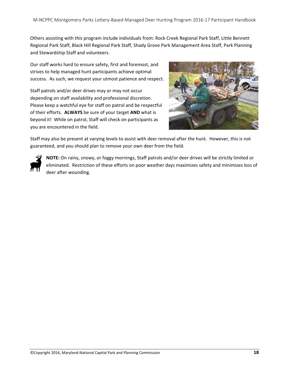Others assisting with this program include individuals from: Rock Creek Regional Park Staff, Little Bennett Regional Park Staff, Black Hill Regional Park Staff, Shady Grove Park Management Area Staff, Park Planning and Stewardship Staff and volunteers.

Our staff works hard to ensure safety, first and foremost, and strives to help managed hunt participants achieve optimal success. As such, we request your utmost patience and respect.

Staff patrols and/or deer drives may or may not occur depending on staff availability and professional discretion. Please keep a watchful eye for staff on patrol and be respectful of their efforts. **ALWAYS** be sure of your target **AND** what is beyond it! While on patrol, Staff will check on participants as you are encountered in the field.

![](_page_19_Picture_4.jpeg)

Staff may also be present at varying levels to assist with deer removal after the hunt. However, this is not guaranteed, and you should plan to remove your own deer from the field.

![](_page_19_Picture_6.jpeg)

**NOTE:** On rainy, snowy, or foggy mornings, Staff patrols and/or deer drives will be strictly limited or eliminated. Restriction of these efforts on poor weather days maximizes safety and minimizes loss of deer after wounding.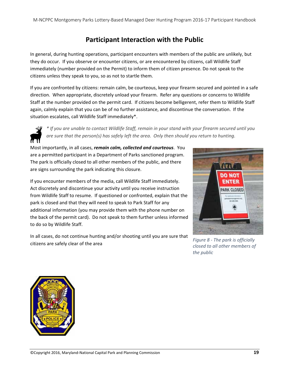## **Participant Interaction with the Public**

In general, during hunting operations, participant encounters with members of the public are unlikely, but they do occur. If you observe or encounter citizens, or are encountered by citizens, call Wildlife Staff immediately (number provided on the Permit) to inform them of citizen presence. Do not speak to the citizens unless they speak to you, so as not to startle them.

If you are confronted by citizens: remain calm, be courteous, keep your firearm secured and pointed in a safe direction. When appropriate, discretely unload your firearm. Refer any questions or concerns to Wildlife Staff at the number provided on the permit card. If citizens become belligerent, refer them to Wildlife Staff again, calmly explain that you can be of no further assistance, and discontinue the conversation. If the situation escalates, call Wildlife Staff immediately\*.

![](_page_20_Picture_4.jpeg)

\* If you are unable to contact Wildlife Staff, remain in your stand with your firearm secured until you *are sure that the person(s) has safely left the area. Only then should you return to hunting.*

Most importantly, in all cases, *remain calm, collected and courteous*. You are a permitted participant in a Department of Parks sanctioned program. The park is officially closed to all other members of the public, and there are signs surrounding the park indicating this closure.

If you encounter members of the media, call Wildlife Staff immediately. Act discretely and discontinue your activity until you receive instruction from Wildlife Staff to resume. If questioned or confronted, explain that the park is closed and that they will need to speak to Park Staff for any additional information (you may provide them with the phone number on the back of the permit card). Do not speak to them further unless informed to do so by Wildlife Staff.

In all cases, do not continue hunting and/or shooting until you are sure that citizens are safely clear of the area

![](_page_20_Picture_9.jpeg)

*Figure 8 ‐ The park is officially closed to all other members of the public*

![](_page_20_Picture_11.jpeg)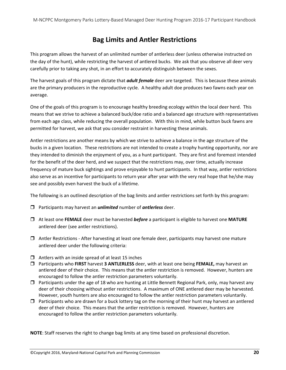## **Bag Limits and Antler Restrictions**

This program allows the harvest of an unlimited number of antlerless deer (unless otherwise instructed on the day of the hunt), while restricting the harvest of antlered bucks. We ask that you observe all deer very carefully prior to taking any shot, in an effort to accurately distinguish between the sexes.

The harvest goals of this program dictate that *adult female* deer are targeted. This is because these animals are the primary producers in the reproductive cycle. A healthy adult doe produces two fawns each year on average.

One of the goals of this program is to encourage healthy breeding ecology within the local deer herd. This means that we strive to achieve a balanced buck/doe ratio and a balanced age structure with representatives from each age class, while reducing the overall population. With this in mind, while button buck fawns are permitted for harvest, we ask that you consider restraint in harvesting these animals.

Antler restrictions are another means by which we strive to achieve a balance in the age structure of the bucks in a given location. These restrictions are not intended to create a trophy hunting opportunity, nor are they intended to diminish the enjoyment of you, as a hunt participant. They are first and foremost intended for the benefit of the deer herd, and we suspect that the restrictions may, over time, actually increase frequency of mature buck sightings and prove enjoyable to hunt participants. In that way, antler restrictions also serve as an incentive for participants to return year after year with the very real hope that he/she may see and possibly even harvest the buck of a lifetime.

The following is an outlined description of the bag limits and antler restrictions set forth by this program:

- Participants may harvest an *unlimited* number of *antlerless* deer.
- At least one **FEMALE** deer must be harvested *before* a participant is eligible to harvest one **MATURE** antlered deer (see antler restrictions).
- $\Box$  Antler Restrictions After harvesting at least one female deer, participants may harvest one mature antlered deer under the following criteria:
- $\Box$  Antlers with an inside spread of at least 15 inches
- Participants who **FIRST** harvest **3 ANTLERLESS** deer, with at least one being **FEMALE,** may harvest an antlered deer of their choice. This means that the antler restriction is removed. However, hunters are encouraged to follow the antler restriction parameters voluntarily.
- $\Box$  Participants under the age of 18 who are hunting at Little Bennett Regional Park, only, may harvest any deer of their choosing without antler restrictions. A maximum of ONE antlered deer may be harvested. However, youth hunters are also encouraged to follow the antler restriction parameters voluntarily.
- $\Box$  Participants who are drawn for a buck lottery tag on the morning of their hunt may harvest an antlered deer of their choice. This means that the antler restriction is removed. However, hunters are encouraged to follow the antler restriction parameters voluntarily.

**NOTE**: Staff reserves the right to change bag limits at any time based on professional discretion.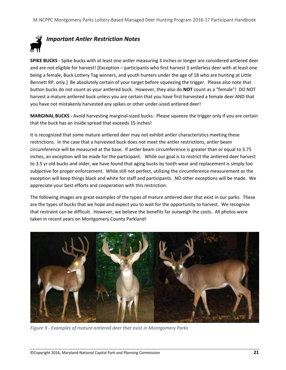# *Important Antler Restriction Notes*

**SPIKE BUCKS** ‐ Spike bucks with at least one antler measuring 3 inches or longer are considered antlered deer and are not eligible for harvest! [Exception – participants who first harvest 3 antlerless deer with at least one being a female, Buck Lottery Tag winners, and youth hunters under the age of 18 who are hunting at Little Bennett RP, only.] Be absolutely certain of your target before squeezing the trigger. Please also note that button bucks do not count as your antlered buck. However, they also do **NOT** count as a "female"! DO NOT harvest a mature antlered buck unless you are certain that you have first harvested a female deer AND that you have not mistakenly harvested any spikes or other under‐sized antlered deer!

**MARGINAL BUCKS** ‐ Avoid harvesting marginal‐sized bucks. Please squeeze the trigger only if you are certain that the buck has an inside spread that exceeds 15 inches!

It is recognized that some mature antlered deer may not exhibit antler characteristics meeting these restrictions. In the case that a harvested buck does not meet the antler restrictions, antler beam circumference will be measured at the base. If antler beam circumference is greater than or equal to 3.75 inches, an exception will be made for the participant. While our goal is to restrict the antlered deer harvest to 3.5 yr old bucks and older, we have found that aging bucks by tooth wear and replacement is simply too subjective for proper enforcement. While still not perfect, utilizing the circumference measurement as the exception will keep things black and white for staff and participants. NO other exceptions will be made. We appreciate your best efforts and cooperation with this restriction.

The following images are great examples of the types of mature antlered deer that exist in our parks. These are the types of bucks that we hope and expect you to wait for the opportunity to harvest. We recognize that restraint can be difficult. However, we believe the benefits far outweigh the costs. All photos were taken in recent years on Montgomery County Parkland!

![](_page_22_Picture_6.jpeg)

*Figure 9 ‐ Examples of mature antlered deer that exist in Montgomery Parks*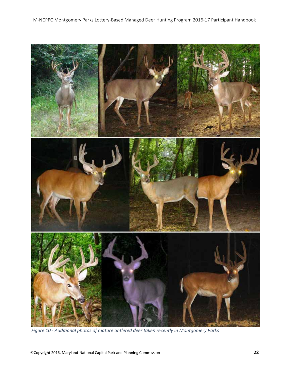![](_page_23_Picture_1.jpeg)

*Figure 10 ‐ Additional photos of mature antlered deer taken recently in Montgomery Parks*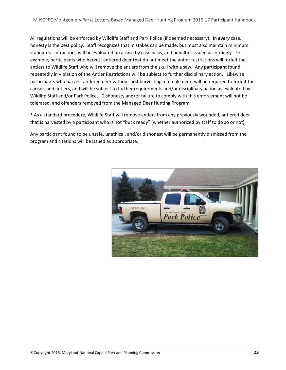All regulations will be enforced by Wildlife Staff and Park Police (if deemed necessary). In *every* case, honesty is the best policy. Staff recognizes that mistakes can be made, but must also maintain minimum standards. Infractions will be evaluated on a case by case basis, and penalties issued accordingly. For example, participants who harvest antlered deer that do not meet the antler restrictions will forfeit the antlers to Wildlife Staff who will remove the antlers from the skull with a saw. Any participant found repeatedly in violation of the Antler Restrictions will be subject to further disciplinary action. Likewise, participants who harvest antlered deer without first harvesting a female deer, will be required to forfeit the carcass and antlers, and will be subject to further requirements and/or disciplinary action as evaluated by Wildlife Staff and/or Park Police. Dishonesty and/or failure to comply with this enforcement will not be tolerated, and offenders removed from the Managed Deer Hunting Program.

\* As a standard procedure, Wildlife Staff will remove antlers from any previously wounded, antlered deer that is harvested by a participant who is not "buck ready" (whether authorized by staff to do so or not).

Any participant found to be unsafe, unethical, and/or dishonest will be permanently dismissed from the program and citations will be issued as appropriate.

![](_page_24_Picture_4.jpeg)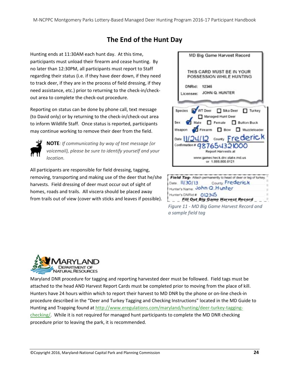# **The End of the Hunt Day**

Hunting ends at 11:30AM each hunt day. At this time, participants must unload their firearm and cease hunting. By no later than 12:30PM, all participants must report to Staff regarding their status (i.e. if they have deer down, if they need to track deer, if they are in the process of field dressing, if they need assistance, etc.) prior to returning to the check‐in/check‐ out area to complete the check‐out procedure.

Reporting on status can be done by phone call, text message (to David only) or by returning to the check‐in/check‐out area to inform Wildlife Staff. Once status is reported, participants may continue working to remove their deer from the field.

![](_page_25_Picture_4.jpeg)

**NOTE***: If communicating by way of text message (or voicemail), please be sure to identify yourself and your location.* 

All participants are responsible for field dressing, tagging, removing, transporting and making use of the deer that he/she harvests. Field dressing of deer must occur out of sight of homes, roads and trails. All viscera should be placed away from trails out of view (cover with sticks and leaves if possible).

|                          | MD Big Game Harvest Record                                                                                                                                                                                         |
|--------------------------|--------------------------------------------------------------------------------------------------------------------------------------------------------------------------------------------------------------------|
|                          | THIS CARD MUST BE IN YOUR<br>POSSESSION WHILE HUNTING                                                                                                                                                              |
| DNRid: 12345<br>icensee: | JOHN Q. HUNTER                                                                                                                                                                                                     |
|                          | Species WT Deer Sika Deer I Turkey<br>Managed Hunt Deer<br>Sex Male <b>D</b> Female <b>D</b> Button Buck<br>Weapon T Firearm D Bow D Muzzleloader<br>Date 11/24/12 County Frederick<br>Confirmation # 987654321000 |

Field Tag- Attach permanently to head of deer or leg of turke County, Frederick Date: 11/30/13 Hunter's Name: John Q. Hunter Hunter's DNRid # 012345 **Fill Out Big Game Harvest Record** *Figure 11 ‐ MD Big Game Harvest Record and*

*a sample field tag*

![](_page_25_Picture_9.jpeg)

Maryland DNR procedure for tagging and reporting harvested deer must be followed. Field tags must be attached to the head AND Harvest Report Cards must be completed prior to moving from the place of kill. Hunters have 24 hours within which to report their harvest to MD DNR by the phone or on‐line check‐in procedure described in the "Deer and Turkey Tagging and Checking Instructions" located in the MD Guide to Hunting and Trapping found at http://www.eregulations.com/maryland/hunting/deer-turkey-taggingchecking/. While it is not required for managed hunt participants to complete the MD DNR checking procedure prior to leaving the park, it is recommended.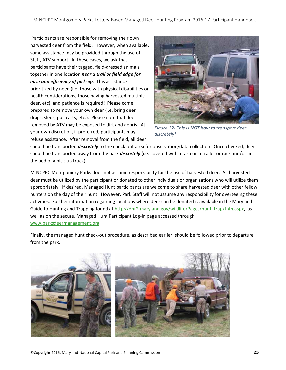Participants are responsible for removing their own harvested deer from the field. However, when available, some assistance may be provided through the use of Staff, ATV support. In these cases, we ask that participants have their tagged, field‐dressed animals together in one location *near a trail or field edge for ease and efficiency of pick‐up*. This assistance is prioritized by need (i.e. those with physical disabilities or health considerations, those having harvested multiple deer, etc), and patience is required! Please come prepared to remove your own deer (i.e. bring deer drags, sleds, pull carts, etc.). Please note that deer removed by ATV may be exposed to dirt and debris. At your own discretion, if preferred, participants may refuse assistance. After removal from the field, all deer

![](_page_26_Picture_2.jpeg)

*Figure 12‐ This is NOT how to transport deer discretely!*

should be transported *discretely* to the check‐out area for observation/data collection. Once checked, deer should be transported away from the park *discretely* (i.e. covered with a tarp on a trailer or rack and/or in the bed of a pick‐up truck).

M‐NCPPC Montgomery Parks does not assume responsibility for the use of harvested deer. All harvested deer must be utilized by the participant or donated to other individuals or organizations who will utilize them appropriately. If desired, Managed Hunt participants are welcome to share harvested deer with other fellow hunters on the day of their hunt. However, Park Staff will not assume any responsibility for overseeing these activities. Further information regarding locations where deer can be donated is available in the Maryland Guide to Hunting and Trapping found at http://dnr2.maryland.gov/wildlife/Pages/hunt\_trap/fhfh.aspx, as well as on the secure, Managed Hunt Participant Log-In page accessed through www.parksdeermanagement.org.

Finally, the managed hunt check-out procedure, as described earlier, should be followed prior to departure from the park.

![](_page_26_Picture_7.jpeg)